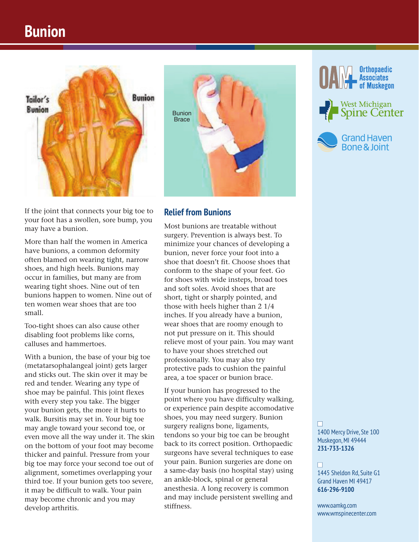# **Bunion**





If the joint that connects your big toe to your foot has a swollen, sore bump, you may have a bunion.

More than half the women in America have bunions, a common deformity often blamed on wearing tight, narrow shoes, and high heels. Bunions may occur in families, but many are from wearing tight shoes. Nine out of ten bunions happen to women. Nine out of ten women wear shoes that are too small.

Too-tight shoes can also cause other disabling foot problems like corns, calluses and hammertoes.

With a bunion, the base of your big toe (metatarsophalangeal joint) gets larger and sticks out. The skin over it may be red and tender. Wearing any type of shoe may be painful. This joint flexes with every step you take. The bigger your bunion gets, the more it hurts to walk. Bursitis may set in. Your big toe may angle toward your second toe, or even move all the way under it. The skin on the bottom of your foot may become thicker and painful. Pressure from your big toe may force your second toe out of alignment, sometimes overlapping your third toe. If your bunion gets too severe, it may be difficult to walk. Your pain may become chronic and you may develop arthritis.

## **Relief from Bunions**

Most bunions are treatable without surgery. Prevention is always best. To minimize your chances of developing a bunion, never force your foot into a shoe that doesn't fit. Choose shoes that conform to the shape of your feet. Go for shoes with wide insteps, broad toes and soft soles. Avoid shoes that are short, tight or sharply pointed, and those with heels higher than 2 1/4 inches. If you already have a bunion, wear shoes that are roomy enough to not put pressure on it. This should relieve most of your pain. You may want to have your shoes stretched out professionally. You may also try protective pads to cushion the painful area, a toe spacer or bunion brace.

If your bunion has progressed to the point where you have difficulty walking, or experience pain despite accomodative shoes, you may need surgery. Bunion surgery realigns bone, ligaments, tendons so your big toe can be brought back to its correct position. Orthopaedic surgeons have several techniques to ease your pain. Bunion surgeries are done on a same-day basis (no hospital stay) using an ankle-block, spinal or general anesthesia. A long recovery is common and may include persistent swelling and stiffness.







n 1400 Mercy Drive, Ste 100 Muskegon, MI 49444 **231-733-1326**

#### n

1445 Sheldon Rd, Suite G1 Grand Haven MI 49417 **616-296-9100**

www.oamkg.com www.wmspinecenter.com